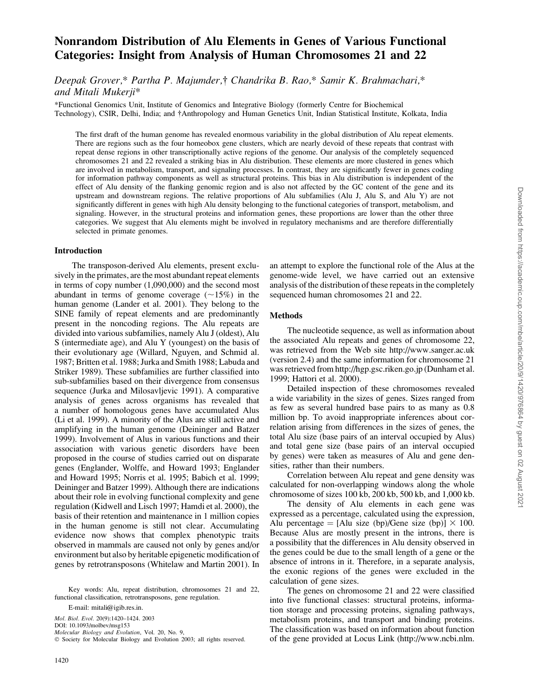# Nonrandom Distribution of Alu Elements in Genes of Various Functional Categories: Insight from Analysis of Human Chromosomes 21 and 22

Deepak Grover,\* Partha P. Majumder,† Chandrika B. Rao,\* Samir K. Brahmachari,\* and Mitali Mukerji\*

\*Functional Genomics Unit, Institute of Genomics and Integrative Biology (formerly Centre for Biochemical

Technology), CSIR, Delhi, India; and †Anthropology and Human Genetics Unit, Indian Statistical Institute, Kolkata, India

The first draft of the human genome has revealed enormous variability in the global distribution of Alu repeat elements. There are regions such as the four homeobox gene clusters, which are nearly devoid of these repeats that contrast with repeat dense regions in other transcriptionally active regions of the genome. Our analysis of the completely sequenced chromosomes 21 and 22 revealed a striking bias in Alu distribution. These elements are more clustered in genes which are involved in metabolism, transport, and signaling processes. In contrast, they are significantly fewer in genes coding for information pathway components as well as structural proteins. This bias in Alu distribution is independent of the effect of Alu density of the flanking genomic region and is also not affected by the GC content of the gene and its upstream and downstream regions. The relative proportions of Alu subfamilies (Alu J, Alu S, and Alu Y) are not significantly different in genes with high Alu density belonging to the functional categories of transport, metabolism, and signaling. However, in the structural proteins and information genes, these proportions are lower than the other three categories. We suggest that Alu elements might be involved in regulatory mechanisms and are therefore differentially selected in primate genomes.

# Introduction

The transposon-derived Alu elements, present exclusively in the primates, are the most abundant repeat elements in terms of copy number (1,090,000) and the second most abundant in terms of genome coverage  $(\sim 15\%)$  in the human genome (Lander et al. 2001). They belong to the SINE family of repeat elements and are predominantly present in the noncoding regions. The Alu repeats are divided into various subfamilies, namely Alu J (oldest), Alu S (intermediate age), and Alu Y (youngest) on the basis of their evolutionary age (Willard, Nguyen, and Schmid al. 1987; Britten et al. 1988; Jurka and Smith 1988; Labuda and Striker 1989). These subfamilies are further classified into sub-subfamilies based on their divergence from consensus sequence (Jurka and Milosavljevic 1991). A comparative analysis of genes across organisms has revealed that a number of homologous genes have accumulated Alus (Li et al. 1999). A minority of the Alus are still active and amplifying in the human genome (Deininger and Batzer 1999). Involvement of Alus in various functions and their association with various genetic disorders have been proposed in the course of studies carried out on disparate genes (Englander, Wolffe, and Howard 1993; Englander and Howard 1995; Norris et al. 1995; Babich et al. 1999; Deininger and Batzer 1999). Although there are indications about their role in evolving functional complexity and gene regulation (Kidwell and Lisch 1997; Hamdi et al. 2000), the basis of their retention and maintenance in 1 million copies in the human genome is still not clear. Accumulating evidence now shows that complex phenotypic traits observed in mammals are caused not only by genes and/or environment but also by heritable epigenetic modification of genes by retrotransposons (Whitelaw and Martin 2001). In

Key words: Alu, repeat distribution, chromosomes 21 and 22, functional classification, retrotransposons, gene regulation.

E-mail: mitali@igib.res.in.

Mol. Biol. Evol. 20(9):1420–1424. 2003

DOI: 10.1093/molbev/msg153

Molecular Biology and Evolution, Vol. 20, No. 9,

 $©$  Society for Molecular Biology and Evolution 2003; all rights reserved.

an attempt to explore the functional role of the Alus at the genome-wide level, we have carried out an extensive analysis of the distribution of these repeats in the completely sequenced human chromosomes 21 and 22.

#### Methods

The nucleotide sequence, as well as information about the associated Alu repeats and genes of chromosome 22, was retrieved from the Web site http://www.sanger.ac.uk (version 2.4) and the same information for chromosome 21 was retrieved from http://hgp.gsc.riken.go.jp (Dunham et al. 1999; Hattori et al. 2000).

Detailed inspection of these chromosomes revealed a wide variability in the sizes of genes. Sizes ranged from as few as several hundred base pairs to as many as 0.8 million bp. To avoid inappropriate inferences about correlation arising from differences in the sizes of genes, the total Alu size (base pairs of an interval occupied by Alus) and total gene size (base pairs of an interval occupied by genes) were taken as measures of Alu and gene densities, rather than their numbers.

Correlation between Alu repeat and gene density was calculated for non-overlapping windows along the whole chromosome of sizes 100 kb, 200 kb, 500 kb, and 1,000 kb.

The density of Alu elements in each gene was expressed as a percentage, calculated using the expression, Alu percentage = [Alu size (bp)/Gene size (bp)]  $\times$  100. Because Alus are mostly present in the introns, there is a possibility that the differences in Alu density observed in the genes could be due to the small length of a gene or the absence of introns in it. Therefore, in a separate analysis, the exonic regions of the genes were excluded in the calculation of gene sizes.

The genes on chromosome 21 and 22 were classified into five functional classes: structural proteins, information storage and processing proteins, signaling pathways, metabolism proteins, and transport and binding proteins. The classification was based on information about function of the gene provided at Locus Link (http://www.ncbi.nlm.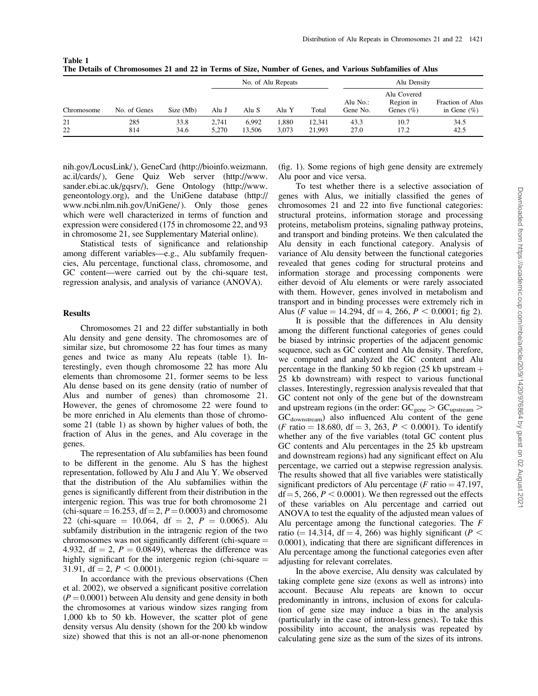Table 1 The Details of Chromosomes 21 and 22 in Terms of Size, Number of Genes, and Various Subfamilies of Alus

nih.gov/LocusLink/ ), GeneCard (http://bioinfo.weizmann. ac.il/cards/ ), Gene Quiz Web server (http://www. sander.ebi.ac.uk/gqsrv/), Gene Ontology (http://www. geneontology.org), and the UniGene database (http:// www.ncbi.nlm.nih.gov/UniGene/ ). Only those genes which were well characterized in terms of function and expression were considered (175 in chromosome 22, and 93 in chromosome 21, see Supplementary Material online).

Statistical tests of significance and relationship among different variables—e.g., Alu subfamily frequencies, Alu percentage, functional class, chromosome, and GC content—were carried out by the chi-square test, regression analysis, and analysis of variance (ANOVA).

#### Results

Chromosomes 21 and 22 differ substantially in both Alu density and gene density. The chromosomes are of similar size, but chromosome 22 has four times as many genes and twice as many Alu repeats (table 1). Interestingly, even though chromosome 22 has more Alu elements than chromosome 21, former seems to be less Alu dense based on its gene density (ratio of number of Alus and number of genes) than chromosome 21. However, the genes of chromosome 22 were found to be more enriched in Alu elements than those of chromosome 21 (table 1) as shown by higher values of both, the fraction of Alus in the genes, and Alu coverage in the genes.

The representation of Alu subfamilies has been found to be different in the genome. Alu S has the highest representation, followed by Alu J and Alu Y. We observed that the distribution of the Alu subfamilies within the genes is significantly different from their distribution in the intergenic region. This was true for both chromosome 21 (chi-square = 16.253, df = 2,  $P = 0.0003$ ) and chromosome 22 (chi-square  $= 10.064$ , df  $= 2$ ,  $P = 0.0065$ ). Alu subfamily distribution in the intragenic region of the two chromosomes was not significantly different (chi-square  $=$ 4.932, df = 2,  $P = 0.0849$ ), whereas the difference was highly significant for the intergenic region (chi-square  $=$ 31.91, df = 2,  $P < 0.0001$ ).

In accordance with the previous observations (Chen et al. 2002), we observed a significant positive correlation  $(P = 0.0001)$  between Alu density and gene density in both the chromosomes at various window sizes ranging from 1,000 kb to 50 kb. However, the scatter plot of gene density versus Alu density (shown for the 200 kb window size) showed that this is not an all-or-none phenomenon (fig. 1). Some regions of high gene density are extremely Alu poor and vice versa.

To test whether there is a selective association of genes with Alus, we initially classified the genes of chromosomes 21 and 22 into five functional categories: structural proteins, information storage and processing proteins, metabolism proteins, signaling pathway proteins, and transport and binding proteins. We then calculated the Alu density in each functional category. Analysis of variance of Alu density between the functional categories revealed that genes coding for structural proteins and information storage and processing components were either devoid of Alu elements or were rarely associated with them. However, genes involved in metabolism and transport and in binding processes were extremely rich in Alus (*F* value = 14.294, df = 4, 266,  $P < 0.0001$ ; fig 2).

It is possible that the differences in Alu density among the different functional categories of genes could be biased by intrinsic properties of the adjacent genomic sequence, such as GC content and Alu density. Therefore, we computed and analyzed the GC content and Alu percentage in the flanking 50 kb region (25 kb upstream  $+$ 25 kb downstream) with respect to various functional classes. Interestingly, regression analysis revealed that that GC content not only of the gene but of the downstream and upstream regions (in the order:  $\text{GC}_{\text{gene}} > \text{GC}_{\text{upstream}} >$  $GC_{downstream}$ ) also influenced Alu content of the gene (*F* ratio = 18.680, df = 3, 263,  $P < 0.0001$ ). To identify whether any of the five variables (total GC content plus GC contents and Alu percentages in the 25 kb upstream and downstream regions) had any significant effect on Alu percentage, we carried out a stepwise regression analysis. The results showed that all five variables were statistically significant predictors of Alu percentage ( $F$  ratio = 47.197,  $df = 5$ , 266,  $P < 0.0001$ ). We then regressed out the effects of these variables on Alu percentage and carried out ANOVA to test the equality of the adjusted mean values of Alu percentage among the functional categories. The F ratio (= 14.314, df = 4, 266) was highly significant ( $P$  < 0.0001), indicating that there are significant differences in Alu percentage among the functional categories even after adjusting for relevant correlates.

In the above exercise, Alu density was calculated by taking complete gene size (exons as well as introns) into account. Because Alu repeats are known to occur predominantly in introns, inclusion of exons for calculation of gene size may induce a bias in the analysis (particularly in the case of intron-less genes). To take this possibility into account, the analysis was repeated by calculating gene size as the sum of the sizes of its introns.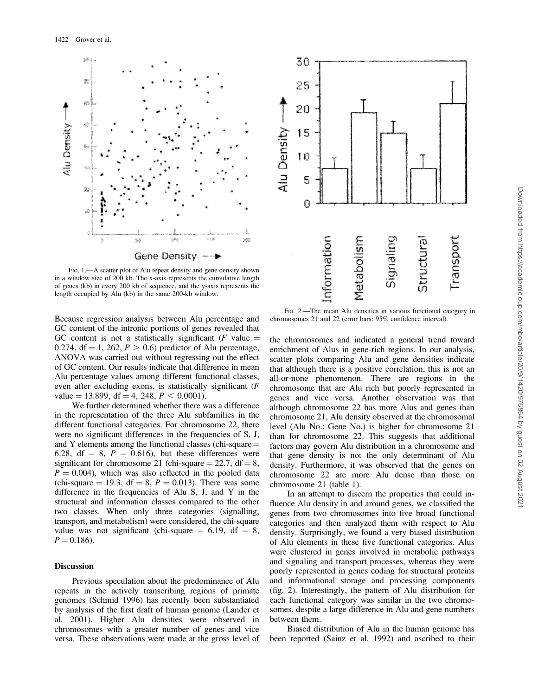

FIG. 1.—A scatter plot of Alu repeat density and gene density shown in a window size of 200 kb. The x-axis represents the cumulative length of genes (kb) in every 200 kb of sequence, and the y-axis represents the length occupied by Alu (kb) in the same 200-kb window.

Because regression analysis between Alu percentage and GC content of the intronic portions of genes revealed that GC content is not a statistically significant ( $F$  value = 0.274, df = 1, 262,  $P > 0.6$ ) predictor of Alu percentage, ANOVA was carried out without regressing out the effect of GC content. Our results indicate that difference in mean Alu percentage values among different functional classes, even after excluding exons, is statistically significant (F value = 13.899, df = 4, 248,  $P < 0.0001$ ).

We further determined whether there was a difference in the representation of the three Alu subfamilies in the different functional categories. For chromosome 22, there were no significant differences in the frequencies of S, J, and Y elements among the functional classes (chi-square $=$ 6.28, df = 8,  $P = 0.616$ ), but these differences were significant for chromosome 21 (chi-square  $= 22.7$ , df  $= 8$ ,  $P = 0.004$ , which was also reflected in the pooled data (chi-square = 19.3, df = 8,  $P = 0.013$ ). There was some difference in the frequencies of Alu S, J, and Y in the structural and information classes compared to the other two classes. When only three categories (signalling, transport, and metabolism) were considered, the chi-square value was not significant (chi-square  $= 6.19$ , df  $= 8$ ,  $P = 0.186$ .

### Discussion

Previous speculation about the predominance of Alu repeats in the actively transcribing regions of primate genomes (Schmid 1996) has recently been substantiated by analysis of the first draft of human genome (Lander et al. 2001). Higher Alu densities were observed in chromosomes with a greater number of genes and vice versa. These observations were made at the gross level of



FIG. 2.—The mean Alu densities in various functional category in chromosomes 21 and 22 (error bars: 95% confidence interval).

the chromosomes and indicated a general trend toward enrichment of Alus in gene-rich regions. In our analysis, scatter plots comparing Alu and gene densities indicate that although there is a positive correlation, this is not an all-or-none phenomenon. There are regions in the chromosome that are Alu rich but poorly represented in genes and vice versa. Another observation was that although chromosome 22 has more Alus and genes than chromosome 21, Alu density observed at the chromosomal level (Alu No.: Gene No.) is higher for chromosome 21 than for chromosome 22. This suggests that additional factors may govern Alu distribution in a chromosome and that gene density is not the only determinant of Alu density. Furthermore, it was observed that the genes on chromosome 22 are more Alu dense than those on chromosome 21 (table 1).

In an attempt to discern the properties that could influence Alu density in and around genes, we classified the genes from two chromosomes into five broad functional categories and then analyzed them with respect to Alu density. Surprisingly, we found a very biased distribution of Alu elements in these five functional categories. Alus were clustered in genes involved in metabolic pathways and signaling and transport processes, whereas they were poorly represented in genes coding for structural proteins and informational storage and processing components (fig. 2). Interestingly, the pattern of Alu distribution for each functional category was similar in the two chromosomes, despite a large difference in Alu and gene numbers between them.

Biased distribution of Alu in the human genome has been reported (Sainz et al. 1992) and ascribed to their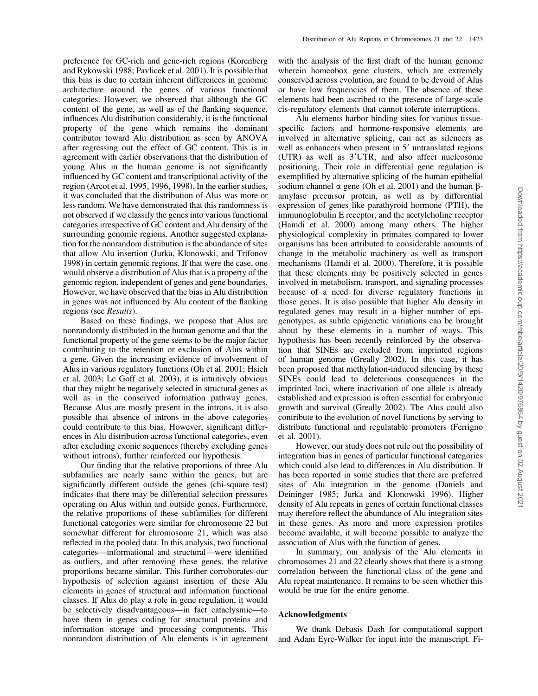Distribution of Alu Repeats in Chromosomes 21 and 22 1423

preference for GC-rich and gene-rich regions (Korenberg and Rykowski 1988; Pavlicek et al. 2001). It is possible that this bias is due to certain inherent differences in genomic architecture around the genes of various functional categories. However, we observed that although the GC content of the gene, as well as of the flanking sequence, influences Alu distribution considerably, it is the functional property of the gene which remains the dominant contributor toward Alu distribution as seen by ANOVA after regressing out the effect of GC content. This is in agreement with earlier observations that the distribution of young Alus in the human genome is not significantly influenced by GC content and transcriptional activity of the region (Arcot et al. 1995, 1996, 1998). In the earlier studies, it was concluded that the distribution of Alus was more or less random. We have demonstrated that this randomness is not observed if we classify the genes into various functional categories irrespective of GC content and Alu density of the surrounding genomic regions. Another suggested explanation for the nonrandom distribution is the abundance of sites that allow Alu insertion (Jurka, Klonowski, and Trifonov 1998) in certain genomic regions. If that were the case, one would observe a distribution of Alus that is a property of the genomic region, independent of genes and gene boundaries. However, we have observed that the bias in Alu distribution in genes was not influenced by Alu content of the flanking regions (see Results).

Based on these findings, we propose that Alus are nonrandomly distributed in the human genome and that the functional property of the gene seems to be the major factor contributing to the retention or exclusion of Alus within a gene. Given the increasing evidence of involvement of Alus in various regulatory functions (Oh et al. 2001; Hsieh et al. 2003; Le Goff et al. 2003), it is intuitively obvious that they might be negatively selected in structural genes as well as in the conserved information pathway genes. Because Alus are mostly present in the introns, it is also possible that absence of introns in the above categories could contribute to this bias. However, significant differences in Alu distribution across functional categories, even after excluding exonic sequences (thereby excluding genes without introns), further reinforced our hypothesis.

Our finding that the relative proportions of three Alu subfamilies are nearly same within the genes, but are significantly different outside the genes (chi-square test) indicates that there may be differential selection pressures operating on Alus within and outside genes. Furthermore, the relative proportions of these subfamilies for different functional categories were similar for chromosome 22 but somewhat different for chromosome 21, which was also reflected in the pooled data. In this analysis, two functional categories—informational and structural—were identified as outliers, and after removing these genes, the relative proportions became similar. This further corroborates our hypothesis of selection against insertion of these Alu elements in genes of structural and information functional classes. If Alus do play a role in gene regulation, it would be selectively disadvantageous—in fact cataclysmic—to have them in genes coding for structural proteins and information storage and processing components. This nonrandom distribution of Alu elements is in agreement with the analysis of the first draft of the human genome wherein homeobox gene clusters, which are extremely conserved across evolution, are found to be devoid of Alus or have low frequencies of them. The absence of these elements had been ascribed to the presence of large-scale cis-regulatory elements that cannot tolerate interruptions.

Alu elements harbor binding sites for various tissuespecific factors and hormone-responsive elements are involved in alternative splicing, can act as silencers as well as enhancers when present in  $5'$  untranslated regions (UTR) as well as  $3'UTR$ , and also affect nucleosome positioning. Their role in differential gene regulation is exemplified by alternative splicing of the human epithelial sodium channel  $\alpha$  gene (Oh et al. 2001) and the human  $\beta$ amylase precursor protein, as well as by differential expression of genes like parathyroid hormone (PTH), the immunoglobulin E receptor, and the acetylcholine receptor (Hamdi et al. 2000) among many others. The higher physiological complexity in primates compared to lower organisms has been attributed to considerable amounts of change in the metabolic machinery as well as transport mechanisms (Hamdi et al. 2000). Therefore, it is possible that these elements may be positively selected in genes involved in metabolism, transport, and signaling processes because of a need for diverse regulatory functions in those genes. It is also possible that higher Alu density in regulated genes may result in a higher number of epigenotypes, as subtle epigenetic variations can be brought about by these elements in a number of ways. This hypothesis has been recently reinforced by the observation that SINEs are excluded from imprinted regions of human genome (Greally 2002). In this case, it has been proposed that methylation-induced silencing by these SINEs could lead to deleterious consequences in the imprinted loci, where inactivation of one allele is already established and expression is often essential for embryonic growth and survival (Greally 2002). The Alus could also contribute to the evolution of novel functions by serving to distribute functional and regulatable promoters (Ferrigno et al. 2001).

However, our study does not rule out the possibility of integration bias in genes of particular functional categories which could also lead to differences in Alu distribution. It has been reported in some studies that there are preferred sites of Alu integration in the genome (Daniels and Deininger 1985; Jurka and Klonowski 1996). Higher density of Alu repeats in genes of certain functional classes may therefore reflect the abundance of Alu integration sites in these genes. As more and more expression profiles become available, it will become possible to analyze the association of Alus with the function of genes.

In summary, our analysis of the Alu elements in chromosomes 21 and 22 clearly shows that there is a strong correlation between the functional class of the gene and Alu repeat maintenance. It remains to be seen whether this would be true for the entire genome.

## Acknowledgments

We thank Debasis Dash for computational support and Adam Eyre-Walker for input into the manuscript. Fi